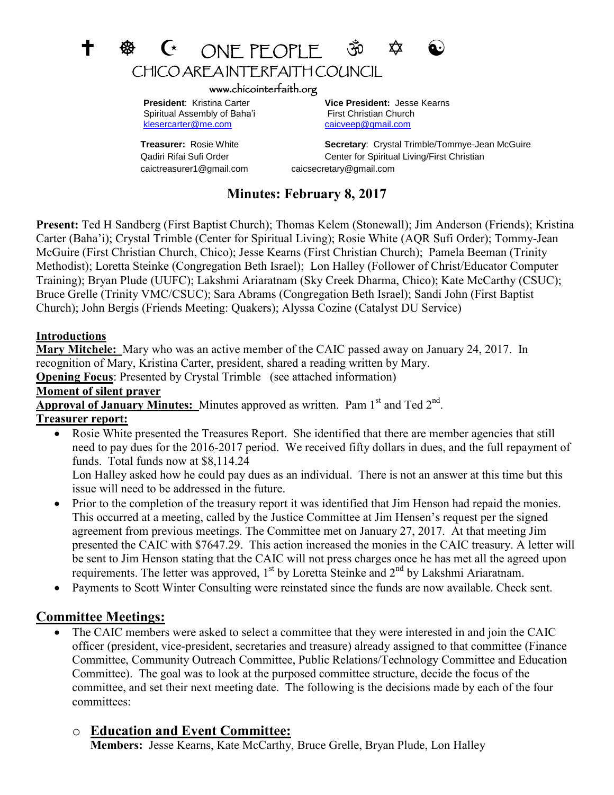# +  $\circledast$  C ONEPEOPLE  $\circledast$ CHICO AREA INTERFAITH COUNCIL

#### www.chicointerfaith.org

Spiritual Assembly of Baha'i First Christian Church [klesercarter@me.com](mailto:klesercarter@me.com) [caicveep@gmail.com](mailto:caicveep@gmail.com)

caictreasurer1@gmail.com caicsecretary@gmail.com

 **President**: Kristina Carter **Vice President:** Jesse Kearns

**Treasurer:** Rosie White **Secretary**: Crystal Trimble/Tommye-Jean McGuire Qadiri Rifai Sufi Order Center for Spiritual Living/First Christian

## **Minutes: February 8, 2017**

**Present:** Ted H Sandberg (First Baptist Church); Thomas Kelem (Stonewall); Jim Anderson (Friends); Kristina Carter (Baha'i); Crystal Trimble (Center for Spiritual Living); Rosie White (AQR Sufi Order); Tommy-Jean McGuire (First Christian Church, Chico); Jesse Kearns (First Christian Church); Pamela Beeman (Trinity Methodist); Loretta Steinke (Congregation Beth Israel); Lon Halley (Follower of Christ/Educator Computer Training); Bryan Plude (UUFC); Lakshmi Ariaratnam (Sky Creek Dharma, Chico); Kate McCarthy (CSUC); Bruce Grelle (Trinity VMC/CSUC); Sara Abrams (Congregation Beth Israel); Sandi John (First Baptist Church); John Bergis (Friends Meeting: Quakers); Alyssa Cozine (Catalyst DU Service)

#### **Introductions**

**Mary Mitchele:** Mary who was an active member of the CAIC passed away on January 24, 2017. In recognition of Mary, Kristina Carter, president, shared a reading written by Mary.

**Opening Focus:** Presented by Crystal Trimble (see attached information)

#### **Moment of silent prayer**

Approval of January Minutes: Minutes approved as written. Pam 1<sup>st</sup> and Ted 2<sup>nd</sup>.

#### **Treasurer report:**

 Rosie White presented the Treasures Report. She identified that there are member agencies that still need to pay dues for the 2016-2017 period. We received fifty dollars in dues, and the full repayment of funds. Total funds now at \$8,114.24

Lon Halley asked how he could pay dues as an individual. There is not an answer at this time but this issue will need to be addressed in the future.

- Prior to the completion of the treasury report it was identified that Jim Henson had repaid the monies. This occurred at a meeting, called by the Justice Committee at Jim Hensen's request per the signed agreement from previous meetings. The Committee met on January 27, 2017. At that meeting Jim presented the CAIC with \$7647.29. This action increased the monies in the CAIC treasury. A letter will be sent to Jim Henson stating that the CAIC will not press charges once he has met all the agreed upon requirements. The letter was approved,  $1<sup>st</sup>$  by Loretta Steinke and  $2<sup>nd</sup>$  by Lakshmi Ariaratnam.
- Payments to Scott Winter Consulting were reinstated since the funds are now available. Check sent.

#### **Committee Meetings:**

 The CAIC members were asked to select a committee that they were interested in and join the CAIC officer (president, vice-president, secretaries and treasure) already assigned to that committee (Finance Committee, Community Outreach Committee, Public Relations/Technology Committee and Education Committee). The goal was to look at the purposed committee structure, decide the focus of the committee, and set their next meeting date. The following is the decisions made by each of the four committees:

## o **Education and Event Committee:**

**Members:** Jesse Kearns, Kate McCarthy, Bruce Grelle, Bryan Plude, Lon Halley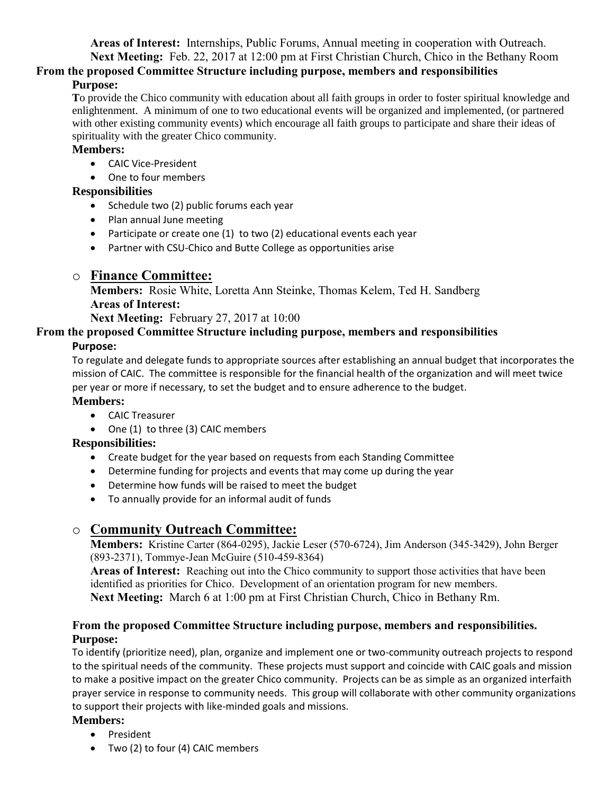**Areas of Interest:** Internships, Public Forums, Annual meeting in cooperation with Outreach.

**Next Meeting:** Feb. 22, 2017 at 12:00 pm at First Christian Church, Chico in the Bethany Room **From the proposed Committee Structure including purpose, members and responsibilities**

#### **Purpose:**

**T**o provide the Chico community with education about all faith groups in order to foster spiritual knowledge and enlightenment. A minimum of one to two educational events will be organized and implemented, (or partnered with other existing community events) which encourage all faith groups to participate and share their ideas of spirituality with the greater Chico community.

#### **Members:**

- CAIC Vice-President
- One to four members

#### **Responsibilities**

- Schedule two (2) public forums each year
- Plan annual June meeting
- Participate or create one (1) to two (2) educational events each year
- Partner with CSU-Chico and Butte College as opportunities arise

# o **Finance Committee:**

**Members:** Rosie White, Loretta Ann Steinke, Thomas Kelem, Ted H. Sandberg **Areas of Interest:**

**Next Meeting:** February 27, 2017 at 10:00

#### **From the proposed Committee Structure including purpose, members and responsibilities**

## **Purpose:**

To regulate and delegate funds to appropriate sources after establishing an annual budget that incorporates the mission of CAIC. The committee is responsible for the financial health of the organization and will meet twice per year or more if necessary, to set the budget and to ensure adherence to the budget.

#### **Members:**

- CAIC Treasurer
- One (1) to three (3) CAIC members

## **Responsibilities:**

- Create budget for the year based on requests from each Standing Committee
- Determine funding for projects and events that may come up during the year
- Determine how funds will be raised to meet the budget
- To annually provide for an informal audit of funds

# o **Community Outreach Committee:**

**Members:** Kristine Carter (864-0295), Jackie Leser (570-6724), Jim Anderson (345-3429), John Berger (893-2371), Tommye-Jean McGuire (510-459-8364)

**Areas of Interest:** Reaching out into the Chico community to support those activities that have been identified as priorities for Chico. Development of an orientation program for new members. **Next Meeting:** March 6 at 1:00 pm at First Christian Church, Chico in Bethany Rm.

#### **From the proposed Committee Structure including purpose, members and responsibilities. Purpose:**

To identify (prioritize need), plan, organize and implement one or two-community outreach projects to respond to the spiritual needs of the community. These projects must support and coincide with CAIC goals and mission to make a positive impact on the greater Chico community. Projects can be as simple as an organized interfaith prayer service in response to community needs. This group will collaborate with other community organizations to support their projects with like-minded goals and missions.

## **Members:**

- President
- Two (2) to four (4) CAIC members